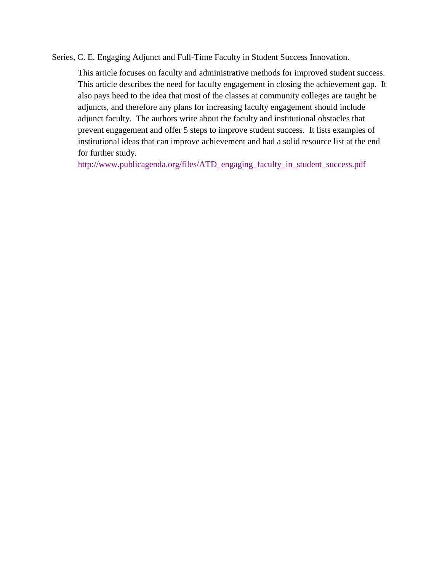Series, C. E. Engaging Adjunct and Full-Time Faculty in Student Success Innovation.

This article focuses on faculty and administrative methods for improved student success. This article describes the need for faculty engagement in closing the achievement gap. It also pays heed to the idea that most of the classes at community colleges are taught be adjuncts, and therefore any plans for increasing faculty engagement should include adjunct faculty. The authors write about the faculty and institutional obstacles that prevent engagement and offer 5 steps to improve student success. It lists examples of institutional ideas that can improve achievement and had a solid resource list at the end for further study.

[http://www.publicagenda.org/files/ATD\\_engaging\\_faculty\\_in\\_student\\_success.pdf](http://www.publicagenda.org/files/ATD_engaging_faculty_in_student_success.pdf)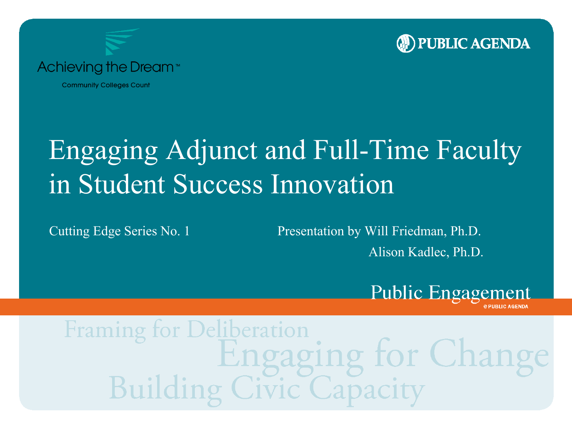



**Community Colleges Count** 

### Engaging Adjunct and Full-Time Faculty in Student Success Innovation

Cutting Edge Series No. 1 Presentation by Will Friedman, Ph.D.

Alison Kadlec, Ph.D.



Framing *Deliberation* aging for Chan Capacity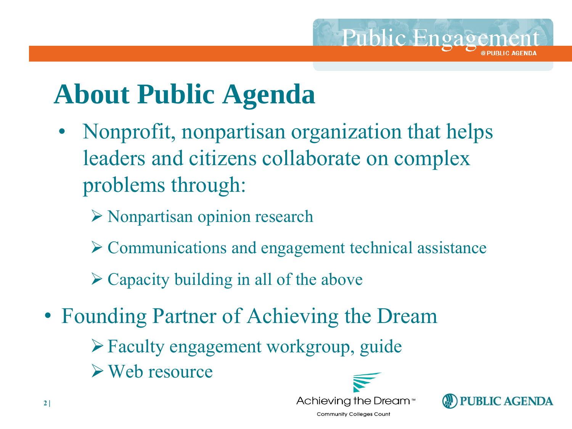### **About Public Agenda**

- Nonprofit, nonpartisan organization that helps leaders and citizens collaborate on complex problems through:
	- $\triangleright$  Nonpartisan opinion research
	- $\triangleright$  Communications and engagement technical assistance
	- $\triangleright$  Capacity building in all of the above
- Founding Partner of Achieving the Dream
	- $\triangleright$  Faculty engagement workgroup, guide
	- Web resource



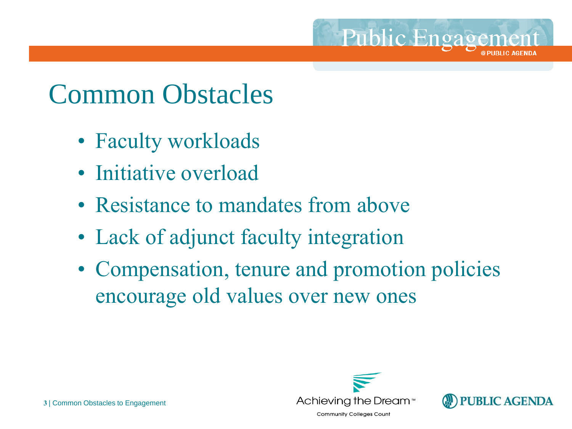#### Common Obstacles

- Faculty workloads
- Initiative overload
- Resistance to mandates from above
- Lack of adjunct faculty integration
- Compensation, tenure and promotion policies encourage old values over new ones



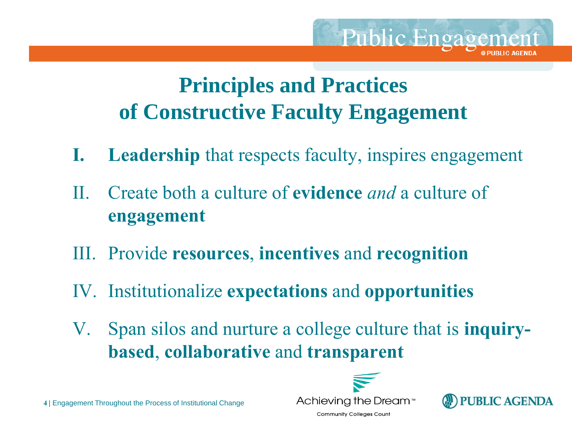#### **Principles and Practices of Constructive Faculty Engagement**

- **I. Leadership** that respects faculty, inspires engagement
- II. Create both a culture of **evidence** *and* a culture of **engagement**
- III. Provide **resources**, **incentives** and **recognition**
- IV. Institutionalize **expectations** and **opportunities**
- V. Span silos and nurture a college culture that is **inquirybased**, **collaborative** and **transparent**





**Public Engagement** 

**4** | Engagement Throughout the Process of Institutional Change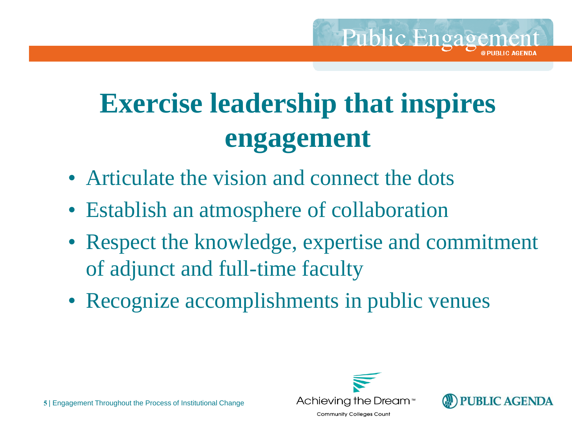

- Articulate the vision and connect the dots
- Establish an atmosphere of collaboration
- Respect the knowledge, expertise and commitment of adjunct and full-time faculty
- Recognize accomplishments in public venues



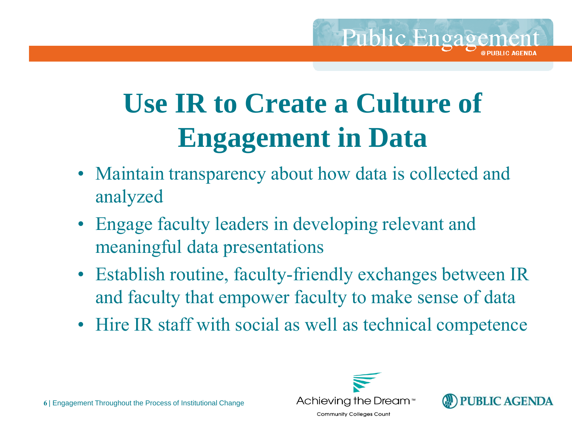# **Use IR to Create a Culture of Engagement in Data**

- Maintain transparency about how data is collected and analyzed
- Engage faculty leaders in developing relevant and meaningful data presentations
- Establish routine, faculty-friendly exchanges between IR and faculty that empower faculty to make sense of data
- Hire IR staff with social as well as technical competence





**Public Engagement** 

**6** | Engagement Throughout the Process of Institutional Change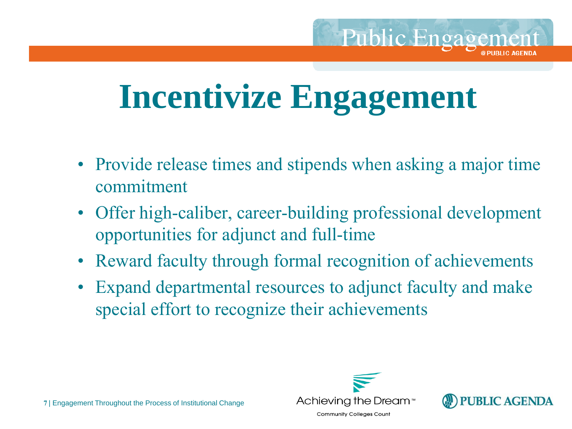# **Incentivize Engagement**

- Provide release times and stipends when asking a major time commitment
- Offer high-caliber, career-building professional development opportunities for adjunct and full-time
- Reward faculty through formal recognition of achievements
- Expand departmental resources to adjunct faculty and make special effort to recognize their achievements



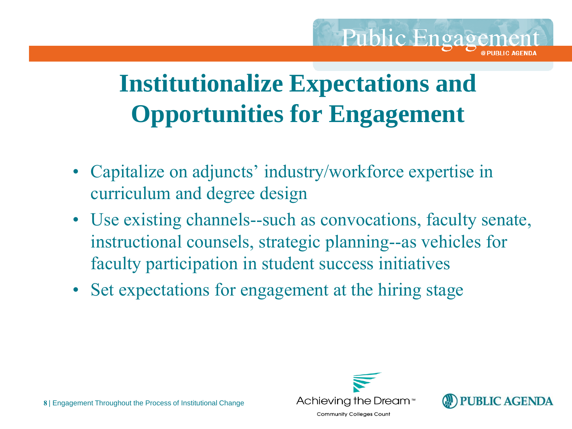#### **Institutionalize Expectations and Opportunities for Engagement**

- Capitalize on adjuncts' industry/workforce expertise in curriculum and degree design
- Use existing channels--such as convocations, faculty senate, instructional counsels, strategic planning--as vehicles for faculty participation in student success initiatives
- Set expectations for engagement at the hiring stage



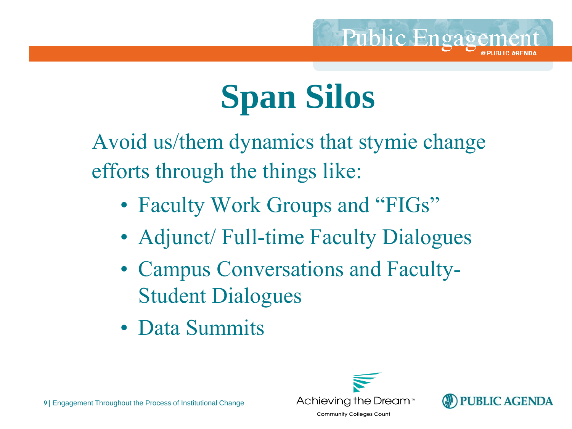

# **Span Silos**

Avoid us/them dynamics that stymie change efforts through the things like:

- Faculty Work Groups and "FIGs"
- Adjunct/ Full-time Faculty Dialogues
- Campus Conversations and Faculty-Student Dialogues
- Data Summits